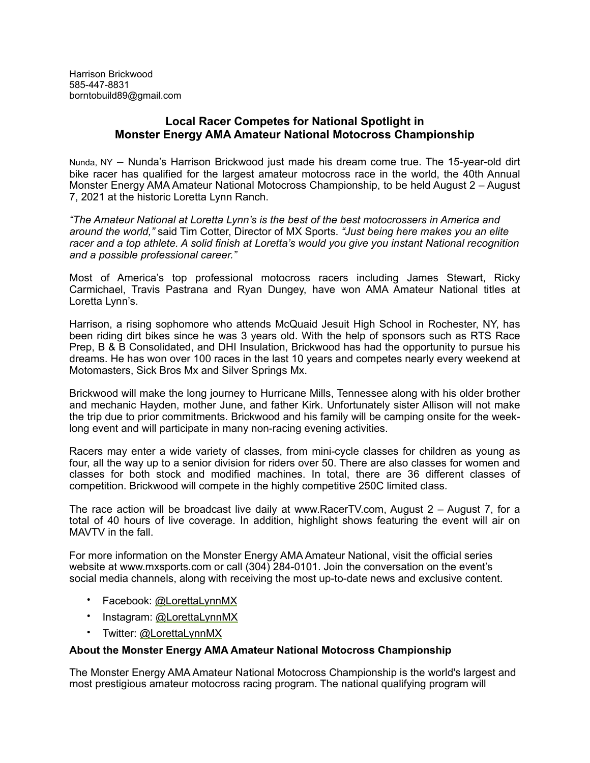Harrison Brickwood 585-447-8831 borntobuild89@gmail.com

## **Local Racer Competes for National Spotlight in Monster Energy AMA Amateur National Motocross Championship**

Nunda, NY – Nunda's Harrison Brickwood just made his dream come true. The 15-year-old dirt bike racer has qualified for the largest amateur motocross race in the world, the 40th Annual Monster Energy AMA Amateur National Motocross Championship, to be held August 2 – August 7, 2021 at the historic Loretta Lynn Ranch.

*"The Amateur National at Loretta Lynn's is the best of the best motocrossers in America and around the world,"* said Tim Cotter, Director of MX Sports. *"Just being here makes you an elite racer and a top athlete. A solid finish at Loretta's would you give you instant National recognition and a possible professional career."*

Most of America's top professional motocross racers including James Stewart, Ricky Carmichael, Travis Pastrana and Ryan Dungey, have won AMA Amateur National titles at Loretta Lynn's.

Harrison, a rising sophomore who attends McQuaid Jesuit High School in Rochester, NY, has been riding dirt bikes since he was 3 years old. With the help of sponsors such as RTS Race Prep, B & B Consolidated, and DHI Insulation, Brickwood has had the opportunity to pursue his dreams. He has won over 100 races in the last 10 years and competes nearly every weekend at Motomasters, Sick Bros Mx and Silver Springs Mx.

Brickwood will make the long journey to Hurricane Mills, Tennessee along with his older brother and mechanic Hayden, mother June, and father Kirk. Unfortunately sister Allison will not make the trip due to prior commitments. Brickwood and his family will be camping onsite for the weeklong event and will participate in many non-racing evening activities.

Racers may enter a wide variety of classes, from mini-cycle classes for children as young as four, all the way up to a senior division for riders over 50. There are also classes for women and classes for both stock and modified machines. In total, there are 36 different classes of competition. Brickwood will compete in the highly competitive 250C limited class.

The race action will be broadcast live daily at [www.RacerTV.com](http://www.RacerTV.com), August 2 – August 7, for a total of 40 hours of live coverage. In addition, highlight shows featuring the event will air on MAVTV in the fall.

For more information on the Monster Energy AMA Amateur National, visit the official series website at www.mxsports.com or call (304) 284-0101. Join the conversation on the event's social media channels, along with receiving the most up-to-date news and exclusive content.

- Facebook: [@LorettaLynnMX](https://www.facebook.com/LorettaLynnMX)
- Instagram: [@LorettaLynnMX](https://www.instagram.com/lorettalynnmx/)
- Twitter: [@LorettaLynnMX](https://twitter.com/LorettaLynnMX)

## **About the Monster Energy AMA Amateur National Motocross Championship**

The Monster Energy AMA Amateur National Motocross Championship is the world's largest and most prestigious amateur motocross racing program. The national qualifying program will